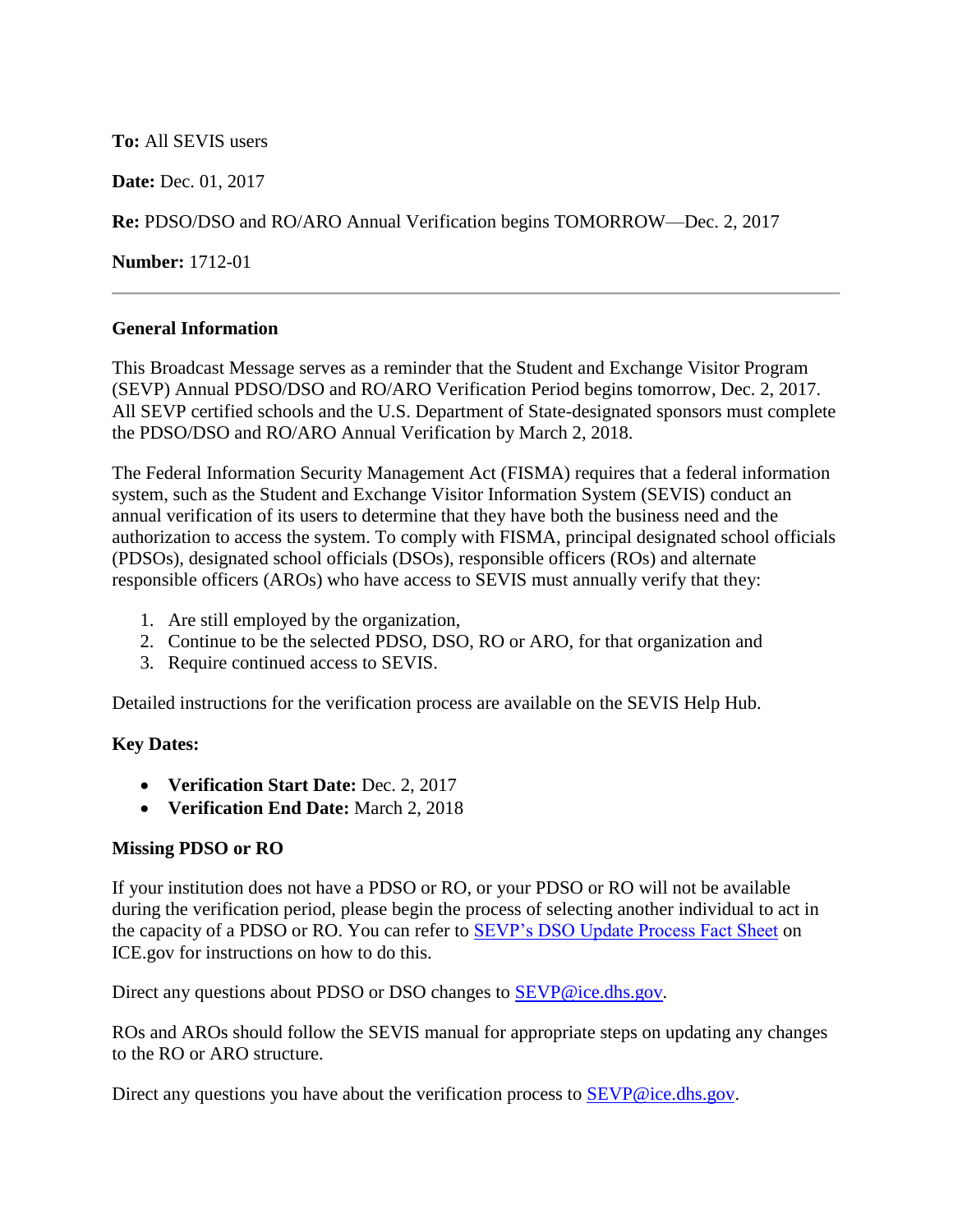## **To:** All SEVIS users

**Date:** Dec. 01, 2017

**Re:** PDSO/DSO and RO/ARO Annual Verification begins TOMORROW—Dec. 2, 2017

**Number:** 1712-01

## **General Information**

This Broadcast Message serves as a reminder that the Student and Exchange Visitor Program (SEVP) Annual PDSO/DSO and RO/ARO Verification Period begins tomorrow, Dec. 2, 2017. All SEVP certified schools and the U.S. Department of State-designated sponsors must complete the PDSO/DSO and RO/ARO Annual Verification by March 2, 2018.

The Federal Information Security Management Act (FISMA) requires that a federal information system, such as the Student and Exchange Visitor Information System (SEVIS) conduct an annual verification of its users to determine that they have both the business need and the authorization to access the system. To comply with FISMA, principal designated school officials (PDSOs), designated school officials (DSOs), responsible officers (ROs) and alternate responsible officers (AROs) who have access to SEVIS must annually verify that they:

- 1. Are still employed by the organization,
- 2. Continue to be the selected PDSO, DSO, RO or ARO, for that organization and
- 3. Require continued access to SEVIS.

Detailed instructions for the verification process are available on the SEVIS Help Hub.

#### **Key Dates:**

- **Verification Start Date:** Dec. 2, 2017
- **Verification End Date:** March 2, 2018

# **Missing PDSO or RO**

If your institution does not have a PDSO or RO, or your PDSO or RO will not be available during the verification period, please begin the process of selecting another individual to act in the capacity of a PDSO or RO. You can refer to [SEVP's DSO Update Process Fact Sheet](https://www.ice.gov/doclib/sevis/pdf/factSheetDsoSubmissions.pdf) on ICE.gov for instructions on how to do this.

Direct any questions about PDSO or DSO changes to **SEVP@ice.dhs.gov.** 

ROs and AROs should follow the SEVIS manual for appropriate steps on updating any changes to the RO or ARO structure.

Direct any questions you have about the verification process to [SEVP@ice.dhs.gov.](mailto:SEVP@ice.dhs.gov)